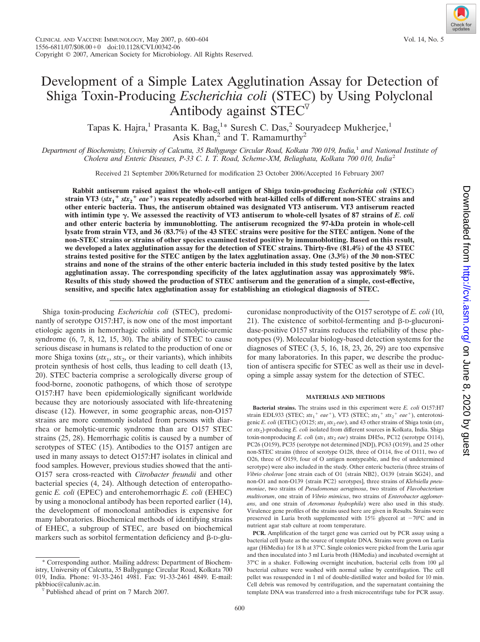# Development of a Simple Latex Agglutination Assay for Detection of Shiga Toxin-Producing *Escherichia coli* (STEC) by Using Polyclonal Antibody against  $\angle$  STEC<sup> $\triangledown$ </sup>

Tapas K. Hajra,<sup>1</sup> Prasanta K. Bag,<sup>1\*</sup> Suresh C. Das,<sup>2</sup> Souryadeep Mukherjee,<sup>1</sup> Asis Khan, $^{2}$  and T. Ramamurthy<sup>2</sup>

*Department of Biochemistry, University of Calcutta, 35 Ballygunge Circular Road, Kolkata 700 019, India,*<sup>1</sup> *and National Institute of Cholera and Enteric Diseases, P-33 C. I. T. Road, Scheme-XM, Beliaghata, Kolkata 700 010, India*<sup>2</sup>

Received 21 September 2006/Returned for modification 23 October 2006/Accepted 16 February 2007

**Rabbit antiserum raised against the whole-cell antigen of Shiga toxin-producing** *Escherichia coli* **(STEC) strain VT3 (***stx***<sup>1</sup>** *stx***<sup>2</sup>** *eae***) was repeatedly adsorbed with heat-killed cells of different non-STEC strains and other enteric bacteria. Thus, the antiserum obtained was designated VT3 antiserum. VT3 antiserum reacted** with intimin type  $\gamma$ . We assessed the reactivity of VT3 antiserum to whole-cell lysates of 87 strains of *E. coli* **and other enteric bacteria by immunoblotting. The antiserum recognized the 97-kDa protein in whole-cell lysate from strain VT3, and 36 (83.7%) of the 43 STEC strains were positive for the STEC antigen. None of the non-STEC strains or strains of other species examined tested positive by immunoblotting. Based on this result, we developed a latex agglutination assay for the detection of STEC strains. Thirty-five (81.4%) of the 43 STEC strains tested positive for the STEC antigen by the latex agglutination assay. One (3.3%) of the 30 non-STEC strains and none of the strains of the other enteric bacteria included in this study tested positive by the latex agglutination assay. The corresponding specificity of the latex agglutination assay was approximately 98%. Results of this study showed the production of STEC antiserum and the generation of a simple, cost-effective, sensitive, and specific latex agglutination assay for establishing an etiological diagnosis of STEC.**

Shiga toxin-producing *Escherichia coli* (STEC), predominantly of serotype O157:H7, is now one of the most important etiologic agents in hemorrhagic colitis and hemolytic-uremic syndrome (6, 7, 8, 12, 15, 30). The ability of STEC to cause serious disease in humans is related to the production of one or more Shiga toxins ( $stx_1, stx_2$ , or their variants), which inhibits protein synthesis of host cells, thus leading to cell death (13, 20). STEC bacteria comprise a serologically diverse group of food-borne, zoonotic pathogens, of which those of serotype O157:H7 have been epidemiologically significant worldwide because they are notoriously associated with life-threatening disease (12). However, in some geographic areas, non-O157 strains are more commonly isolated from persons with diarrhea or hemolytic-uremic syndrome than are O157 STEC strains (25, 28). Hemorrhagic colitis is caused by a number of serotypes of STEC (15). Antibodies to the O157 antigen are used in many assays to detect O157:H7 isolates in clinical and food samples. However, previous studies showed that the anti-O157 sera cross-reacted with *Citrobacter freundii* and other bacterial species (4, 24). Although detection of enteropathogenic *E. coli* (EPEC) and enterohemorrhagic *E. coli* (EHEC) by using a monoclonal antibody has been reported earlier (14), the development of monoclonal antibodies is expensive for many laboratories. Biochemical methods of identifying strains of EHEC, a subgroup of STEC, are based on biochemical markers such as sorbitol fermentation deficiency and  $\beta$ -D-glu-

\* Corresponding author. Mailing address: Department of Biochemistry, University of Calcutta, 35 Ballygunge Circular Road, Kolkata 700 019, India. Phone: 91-33-2461 4981. Fax: 91-33-2461 4849. E-mail: curonidase nonproductivity of the O157 serotype of *E. coli* (10, 21). The existence of sorbitol-fermenting and  $\beta$ -D-glucuronidase-positive O157 strains reduces the reliability of these phenotypes (9). Molecular biology-based detection systems for the diagnoses of STEC (3, 5, 16, 18, 23, 26, 29) are too expensive for many laboratories. In this paper, we describe the production of antisera specific for STEC as well as their use in developing a simple assay system for the detection of STEC.

#### **MATERIALS AND METHODS**

**Bacterial strains.** The strains used in this experiment were *E. coli* O157:H7 strain EDL933 (STEC;  $stx_1^+ eae^+$ ), VT3 (STEC;  $stx_1^+ stx_2^+ eae^+$ ), enterotoxigenic *E. coli* (ETEC) (O125;  $\text{str}_1$   $\text{str}_2$  *eae*), and 43 other strains of Shiga toxin ( $\text{str}_1$ or  $stx_2$ )-producing *E. coli* isolated from different sources in Kolkata, India. Shiga toxin-nonproducing *E. coli* ( $\text{stx}_1$   $\text{stx}_2$  *eae*) strains DH5 $\alpha$ , PC12 (serotype O114), PC26 (O159), PC35 (serotype not determined [ND]), PC63 (O159), and 25 other non-STEC strains (three of serotype O128, three of O114, five of O111, two of O26, three of O159, four of O antigen nontypeable, and five of undetermined serotype) were also included in the study. Other enteric bacteria (three strains of *Vibrio cholerae* [one strain each of O1 {strain NB2}, O139 {strain SG24}, and non-O1 and non-O139 {strain PC2} serotypes], three strains of *Klebsiella pneumoniae*, two strains of *Pseudomonas aeruginosa*, two strains of *Flavobacterium multivorum*, one strain of *Vibrio mimicus*, two strains of *Enterobacter agglomerans*, and one strain of *Aeromonas hydrophila*) were also used in this study. Virulence gene profiles of the strains used here are given in Results. Strains were preserved in Luria broth supplemented with  $15\%$  glycerol at  $-70^{\circ}$ C and in nutrient agar stab culture at room temperature.

**PCR.** Amplification of the target gene was carried out by PCR assay using a bacterial cell lysate as the source of template DNA. Strains were grown on Luria agar (HiMedia) for 18 h at 37°C. Single colonies were picked from the Luria agar and then inoculated into 3 ml Luria broth (HiMedia) and incubated overnight at 37°C in a shaker. Following overnight incubation, bacterial cells from 100  $\mu$ l bacterial culture were washed with normal saline by centrifugation. The cell pellet was resuspended in 1 ml of double-distilled water and boiled for 10 min. Cell debris was removed by centrifugation, and the supernatant containing the template DNA was transferred into a fresh microcentrifuge tube for PCR assay.



 $\sqrt[p]{}$  Published ahead of print on 7 March 2007.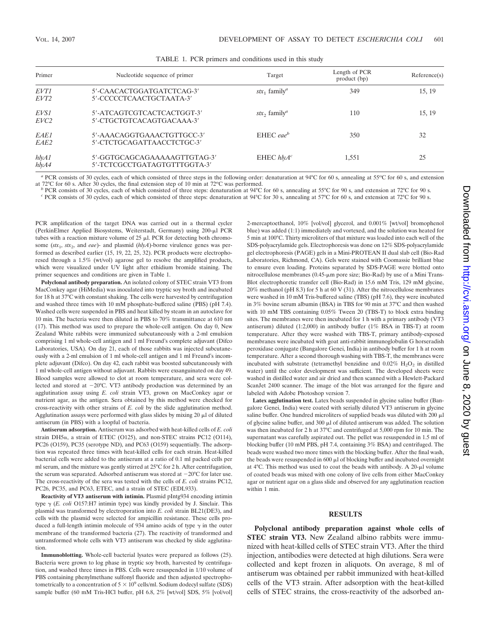| Primer                   | Nucleotide sequence of primer                                | Target                                                      | Length of PCR<br>product (bp) | Reference(s) |
|--------------------------|--------------------------------------------------------------|-------------------------------------------------------------|-------------------------------|--------------|
| EVT1<br>EVT <sub>2</sub> | 5'-CAACACTGGATGATCTCAG-3'<br>5'-CCCCCTCAACTGCTAATA-3'        | $stx_1$ family <sup><i>a</i></sup>                          | 349                           | 15, 19       |
| EVS1<br>EVC <sub>2</sub> | 5'-ATCAGTCGTCACTCACTGGT-3'<br>5'-CTGCTGTCACAGTGACAAA-3'      | $\delta$ <i>stx</i> <sub>2</sub> family <sup><i>a</i></sup> | 110                           | 15, 19       |
| EAE1<br>EAE <sub>2</sub> | 5'-AAACAGGTGAAACTGTTGCC-3'<br>5'-CTCTGCAGATTAACCTCTGC-3'     | EHEC eae <sup>b</sup>                                       | 350                           | 32           |
| hlyA1<br>hlyA4           | 5'-GGTGCAGCAGAAAAAGTTGTAG-3'<br>5'-TCTCGCCTGATAGTGTTTGGTA-3' | EHEC $h\mathsf{I} \mathsf{V} A^c$                           | 1,551                         | 25           |

| TABLE 1. PCR primers and conditions used in this study |  |
|--------------------------------------------------------|--|
|--------------------------------------------------------|--|

<sup>a</sup> PCR consists of 30 cycles, each of which consisted of three steps in the following order: denaturation at 94°C for 60 s, annealing at 55°C for 60 s, and extension at 72 $^{\circ}$ C for 60 s. After 30 cycles, the final extension step of 10 min at 72 $^{\circ}$ C was performed.

<sup>*b*</sup> PCR consists of 30 cycles, each of which consisted of three steps: denaturation at 94°C for 60 s, annealing at 55°C for 90 s, and extension at 72°C for 90 s.

<sup>c</sup> PCR consists of 30 cycles, each of which consisted of three steps: denaturation at 94°C for 30 s, annealing at 57°C for 60 s, and extension at 72°C for 90 s.

PCR amplification of the target DNA was carried out in a thermal cycler (PerkinElmer Applied Biosystems, Weiterstadt, Germany) using 200-µl PCR tubes with a reaction mixture volume of  $25 \mu$ . PCR for detecting both chromosome (*stx*1, *stx*2, and *eae*)- and plasmid (*hlyA*)-borne virulence genes was performed as described earlier (15, 19, 22, 25, 32). PCR products were electrophoresed through a 1.5% (wt/vol) agarose gel to resolve the amplified products, which were visualized under UV light after ethidium bromide staining. The primer sequences and conditions are given in Table 1.

**Polyclonal antibody preparation.** An isolated colony of STEC strain VT3 from MacConkey agar (HiMedia) was inoculated into tryptic soy broth and incubated for 18 h at 37°C with constant shaking. The cells were harvested by centrifugation and washed three times with 10 mM phosphate-buffered saline (PBS) (pH 7.4). Washed cells were suspended in PBS and heat killed by steam in an autoclave for 10 min. The bacteria were then diluted in PBS to 70% transmittance at 610 nm (17). This method was used to prepare the whole-cell antigen. On day 0, New Zealand White rabbits were immunized subcutaneously with a 2-ml emulsion comprising 1 ml whole-cell antigen and 1 ml Freund's complete adjuvant (Difco Laboratories, USA). On day 21, each of those rabbits was injected subcutaneously with a 2-ml emulsion of 1 ml whole-cell antigen and 1 ml Freund's incomplete adjuvant (Difco). On day 42, each rabbit was boosted subcutaneously with 1 ml whole-cell antigen without adjuvant. Rabbits were exsanguinated on day 49. Blood samples were allowed to clot at room temperature, and sera were collected and stored at  $-20^{\circ}$ C. VT3 antibody production was determined by an agglutination assay using *E. coli* strain VT3, grown on MacConkey agar or nutrient agar, as the antigen. Sera obtained by this method were checked for cross-reactivity with other strains of *E. coli* by the slide agglutination method. Agglutination assays were performed with glass slides by mixing  $20 \mu l$  of diluted antiserum (in PBS) with a loopful of bacteria.

**Antiserum adsorption.** Antiserum was adsorbed with heat-killed cells of *E. coli* strain DH5 $\alpha$ , a strain of ETEC (O125), and non-STEC strains PC12 (O114), PC26 (O159), PC35 (serotype ND), and PC63 (O159) sequentially. The adsorption was repeated three times with heat-killed cells for each strain. Heat-killed bacterial cells were added to the antiserum at a ratio of 0.1 ml packed cells per ml serum, and the mixture was gently stirred at 25°C for 2 h. After centrifugation, the serum was separated. Adsorbed antiserum was stored at  $-20^{\circ}$ C for later use. The cross-reactivity of the sera was tested with the cells of *E. coli* strains PC12, PC26, PC35, and PC63, ETEC, and a strain of STEC (EDL933).

**Reactivity of VT3 antiserum with intimin.** Plasmid pIntg934 encoding intimin type  $\gamma$  (*E. coli* O157:H7 intimin type) was kindly provided by J. Sinclair. This plasmid was transformed by electroporation into *E. coli* strain BL21(DE3), and cells with the plasmid were selected for ampicillin resistance. These cells produced a full-length intimin molecule of 934 amino acids of type  $\gamma$  in the outer membrane of the transformed bacteria (27). The reactivity of transformed and untransformed whole cells with VT3 antiserum was checked by slide agglutination.

**Immunoblotting.** Whole-cell bacterial lysates were prepared as follows (25). Bacteria were grown to log phase in tryptic soy broth, harvested by centrifugation, and washed three times in PBS. Cells were resuspended in 1/10 volume of PBS containing phenylmethane sulfonyl fluoride and then adjusted spectrophotometrically to a concentration of  $5 \times 10^9$  cells/ml. Sodium dodecyl sulfate (SDS) sample buffer (60 mM Tris-HCl buffer, pH 6.8, 2% [wt/vol] SDS, 5% [vol/vol] Downloaded from http://cvi.asm.org/ on June 8, 2020 by guest on June 8, 2020 by guest <http://cvi.asm.org/> Downloaded from

2-mercaptoethanol, 10% [vol/vol] glycerol, and 0.001% [wt/vol] bromophenol blue) was added (1:1) immediately and vortexed, and the solution was heated for 5 min at 100°C. Thirty microliters of that mixture was loaded into each well of the SDS-polyacrylamide gels. Electrophoresis was done on 12% SDS-polyacrylamide gel electrophoresis (PAGE) gels in a Mini-PROTEAN II dual slab cell (Bio-Rad Laboratories, Richmond, CA). Gels were stained with Coomassie brilliant blue to ensure even loading. Proteins separated by SDS-PAGE were blotted onto nitrocellulose membranes (0.45-µm pore size; Bio-Rad) by use of a Mini Trans-Blot electrophoretic transfer cell (Bio-Rad) in 15.6 mM Tris, 129 mM glycine, 20% methanol (pH 8.3) for 5 h at 60 V (31). After the nitrocellulose membranes were washed in 10 mM Tris-buffered saline (TBS) (pH 7.6), they were incubated in 3% bovine serum albumin (BSA) in TBS for 90 min at 37°C and then washed with 10 mM TBS containing 0.05% Tween 20 (TBS-T) to block extra binding sites. The membranes were then incubated for 1 h with a primary antibody (VT3 antiserum) diluted (1:2,000) in antibody buffer (1% BSA in TBS-T) at room temperature. After they were washed with TBS-T, primary antibody-exposed membranes were incubated with goat anti-rabbit immunoglobulin G horseradish peroxidase conjugate (Bangalore Genei, India) in antibody buffer for 1 h at room temperature. After a second thorough washing with TBS-T, the membranes were incubated with substrate (tetramethyl benzidine and  $0.02\%$  H<sub>2</sub>O<sub>2</sub> in distilled water) until the color development was sufficient. The developed sheets were washed in distilled water and air dried and then scanned with a Hewlett-Packard ScanJet 2400 scanner. The image of the blot was arranged for the figure and labeled with Adobe Photoshop version 7.

**Latex agglutination test.** Latex beads suspended in glycine saline buffer (Bangalore Genei, India) were coated with serially diluted VT3 antiserum in glycine saline buffer. One hundred microliters of supplied beads was diluted with 200  $\mu$ l of glycine saline buffer, and 300  $\mu$ l of diluted antiserum was added. The solution was then incubated for 2 h at 37°C and centrifuged at 5,000 rpm for 10 min. The supernatant was carefully aspirated out. The pellet was resuspended in 1.5 ml of blocking buffer (10 mM PBS, pH 7.4, containing 3% BSA) and centrifuged. The beads were washed two more times with the blocking buffer. After the final wash, the beads were resuspended in 600  $\mu$ l of blocking buffer and incubated overnight at  $4^{\circ}$ C. This method was used to coat the beads with antibody. A 20- $\mu$ l volume of coated beads was mixed with one colony of live cells from either MacConkey agar or nutrient agar on a glass slide and observed for any agglutination reaction within 1 min.

## **RESULTS**

**Polyclonal antibody preparation against whole cells of STEC strain VT3.** New Zealand albino rabbits were immunized with heat-killed cells of STEC strain VT3. After the third injection, antibodies were detected at high dilutions. Sera were collected and kept frozen in aliquots. On average, 8 ml of antiserum was obtained per rabbit immunized with heat-killed cells of the VT3 strain. After adsorption with the heat-killed cells of STEC strains, the cross-reactivity of the adsorbed an-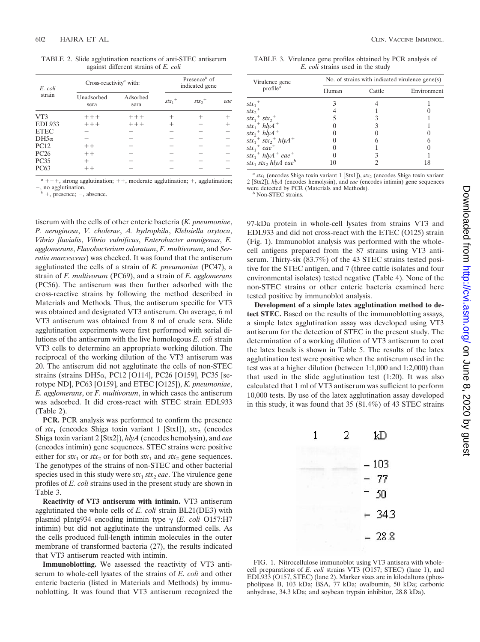TABLE 2. Slide agglutination reactions of anti-STEC antiserum against different strains of *E. coli*

| E. coli         | Cross-reactivity <sup><i>a</i></sup> with: | Presence $\mathbf{b}$ of<br>indicated gene |           |                      |     |
|-----------------|--------------------------------------------|--------------------------------------------|-----------|----------------------|-----|
| strain          | Unadsorbed<br>sera                         | Adsorbed<br>sera                           | $stx_1^+$ | $stx_2$ <sup>+</sup> | eae |
| VT <sub>3</sub> | $+++$                                      | $++++$                                     |           |                      |     |
| <b>EDL933</b>   | $+++$                                      | $+++$                                      |           |                      |     |
| <b>ETEC</b>     |                                            |                                            |           |                      |     |
| $DH5\alpha$     |                                            |                                            |           |                      |     |
| <b>PC12</b>     | $++$                                       |                                            |           |                      |     |
| <b>PC26</b>     | $++$                                       |                                            |           |                      |     |
| <b>PC35</b>     | $^{+}$                                     |                                            |           |                      |     |
| PC63            | $++$                                       |                                            |           |                      |     |

 $a + + +$ , strong agglutination;  $++$ , moderate agglutination;  $+$ , agglutination; , no agglutination.

 $b^b$  +, presence; -, absence.

tiserum with the cells of other enteric bacteria (*K. pneumoniae*, *P. aeruginosa*, *V. cholerae*, *A. hydrophila*, *Klebsiella oxytoca*, *Vibrio fluvialis*, *Vibrio vulnificus*, *Enterobacter amnigenus*, *E. agglomerans*, *Flavobacterium odoratum*, *F. multivorum*, and *Serratia marcescens*) was checked. It was found that the antiserum agglutinated the cells of a strain of *K. pneumoniae* (PC47), a strain of *F. multivorum* (PC69), and a strain of *E. agglomerans* (PC56). The antiserum was then further adsorbed with the cross-reactive strains by following the method described in Materials and Methods. Thus, the antiserum specific for VT3 was obtained and designated VT3 antiserum. On average, 6 ml VT3 antiserum was obtained from 8 ml of crude sera. Slide agglutination experiments were first performed with serial dilutions of the antiserum with the live homologous *E. coli* strain VT3 cells to determine an appropriate working dilution. The reciprocal of the working dilution of the VT3 antiserum was 20. The antiserum did not agglutinate the cells of non-STEC strains (strains DH5α, PC12 [O114], PC26 [O159], PC35 [serotype ND], PC63 [O159], and ETEC [O125]), *K. pneumoniae*, *E. agglomerans*, or *F. multivorum*, in which cases the antiserum was adsorbed. It did cross-react with STEC strain EDL933 (Table 2).

**PCR.** PCR analysis was performed to confirm the presence of  $stx_1$  (encodes Shiga toxin variant 1 [Stx1]),  $stx_2$  (encodes Shiga toxin variant 2 [Stx2]), *hlyA* (encodes hemolysin), and *eae* (encodes intimin) gene sequences. STEC strains were positive either for  $stx_1$  or  $stx_2$  or for both  $stx_1$  and  $stx_2$  gene sequences. The genotypes of the strains of non-STEC and other bacterial species used in this study were  $stx_1$   $stx_2$  *eae*. The virulence gene profiles of *E. coli* strains used in the present study are shown in Table 3.

**Reactivity of VT3 antiserum with intimin.** VT3 antiserum agglutinated the whole cells of *E. coli* strain BL21(DE3) with plasmid pIntg934 encoding intimin type  $\gamma$  (*E. coli* O157:H7 intimin) but did not agglutinate the untransformed cells. As the cells produced full-length intimin molecules in the outer membrane of transformed bacteria (27), the results indicated that VT3 antiserum reacted with intimin.

**Immunoblotting.** We assessed the reactivity of VT3 antiserum to whole-cell lysates of the strains of *E. coli* and other enteric bacteria (listed in Materials and Methods) by immunoblotting. It was found that VT3 antiserum recognized the

TABLE 3. Virulence gene profiles obtained by PCR analysis of *E. coli* strains used in the study

| Virulence gene                                            | No. of strains with indicated virulence gene(s) |        |             |  |  |  |
|-----------------------------------------------------------|-------------------------------------------------|--------|-------------|--|--|--|
| profile <sup>a</sup>                                      | Human                                           | Cattle | Environment |  |  |  |
| $stx_1^+$                                                 |                                                 |        |             |  |  |  |
| $stx_2$ <sup>+</sup>                                      |                                                 |        |             |  |  |  |
| $stx_1$ <sup>+</sup> $stx_2$ <sup>+</sup>                 |                                                 |        |             |  |  |  |
| $stx_1$ <sup>+</sup> $hlyA$ <sup>+</sup>                  |                                                 |        |             |  |  |  |
| $stx_2$ + $hlyA$ +                                        |                                                 |        |             |  |  |  |
| $stx_1^+$ stx <sub>2</sub> <sup>+</sup> hlyA <sup>+</sup> |                                                 |        |             |  |  |  |
| $stx_1^+$ eae <sup>+</sup>                                |                                                 |        |             |  |  |  |
| $stx_1$ <sup>+</sup> hlyA <sup>+</sup> eae <sup>+</sup>   |                                                 |        |             |  |  |  |
| stx <sub>1</sub> stx <sub>2</sub> hlyA eae <sup>b</sup>   |                                                 |        | 18          |  |  |  |

a *stx*<sub>1</sub> (encodes Shiga toxin variant 1 [Stx1]), *stx*<sub>2</sub> (encodes Shiga toxin variant 2 [Stx2]), *hlyA* (encodes hemolysin), and *eae* (encodes intimin) gene sequences were detected by PCR (Materials and Methods). *<sup>b</sup>* Non-STEC strains.

97-kDa protein in whole-cell lysates from strains VT3 and EDL933 and did not cross-react with the ETEC (O125) strain (Fig. 1). Immunoblot analysis was performed with the wholecell antigens prepared from the 87 strains using VT3 antiserum. Thirty-six (83.7%) of the 43 STEC strains tested positive for the STEC antigen, and 7 (three cattle isolates and four environmental isolates) tested negative (Table 4). None of the non-STEC strains or other enteric bacteria examined here tested positive by immunoblot analysis.

**Development of a simple latex agglutination method to detect STEC.** Based on the results of the immunoblotting assays, a simple latex agglutination assay was developed using VT3 antiserum for the detection of STEC in the present study. The determination of a working dilution of VT3 antiserum to coat the latex beads is shown in Table 5. The results of the latex agglutination test were positive when the antiserum used in the test was at a higher dilution (between 1:1,000 and 1:2,000) than that used in the slide agglutination test (1:20). It was also calculated that 1 ml of VT3 antiserum was sufficient to perform 10,000 tests. By use of the latex agglutination assay developed in this study, it was found that 35 (81.4%) of 43 STEC strains



FIG. 1. Nitrocellulose immunoblot using VT3 antisera with wholecell preparations of *E. coli* strains VT3 (O157; STEC) (lane 1), and EDL933 (O157, STEC) (lane 2). Marker sizes are in kilodaltons (phospholipase B, 103 kDa; BSA, 77 kDa; ovalbumin, 50 kDa; carbonic anhydrase, 34.3 kDa; and soybean trypsin inhibitor, 28.8 kDa).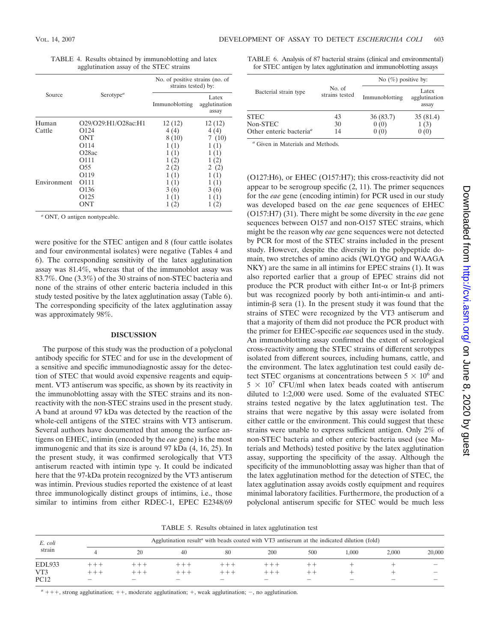|             |                                    | No. of positive strains (no. of<br>strains tested) by: |                                 |  |  |
|-------------|------------------------------------|--------------------------------------------------------|---------------------------------|--|--|
| Source      | Serotype <sup><math>a</math></sup> | Immunoblotting                                         | Latex<br>agglutination<br>assay |  |  |
| Human       | O29/O29:H1/O28ac:H1                | 12(12)                                                 | 12(12)                          |  |  |
| Cattle      | O <sub>124</sub>                   | 4(4)                                                   | 4(4)                            |  |  |
|             | <b>ONT</b>                         | 8(10)                                                  | 7(10)                           |  |  |
|             | O114                               | 1(1)                                                   | 1(1)                            |  |  |
|             | O <sub>28</sub> ac                 | 1(1)                                                   | 1(1)                            |  |  |
|             | O <sub>111</sub>                   | 1(2)                                                   | 1(2)                            |  |  |
|             | O <sub>55</sub>                    | 2(2)                                                   | (2)<br>2                        |  |  |
|             | O <sub>119</sub>                   |                                                        |                                 |  |  |
| Environment | O <sub>111</sub>                   | (1)                                                    | Ί)                              |  |  |
|             | O <sub>136</sub>                   | 3(6)                                                   | 3(6)                            |  |  |
|             | O <sub>125</sub>                   | (1)                                                    | (1)                             |  |  |

TABLE 4. Results obtained by immunoblotting and latex agglutination assay of the STEC strains

*<sup>a</sup>* ONT, O antigen nontypeable.

were positive for the STEC antigen and 8 (four cattle isolates and four environmental isolates) were negative (Tables 4 and 6). The corresponding sensitivity of the latex agglutination assay was 81.4%, whereas that of the immunoblot assay was 83.7%. One (3.3%) of the 30 strains of non-STEC bacteria and none of the strains of other enteric bacteria included in this study tested positive by the latex agglutination assay (Table 6). The corresponding specificity of the latex agglutination assay was approximately 98%.

ONT  $1(2)$   $1(2)$ 

## **DISCUSSION**

The purpose of this study was the production of a polyclonal antibody specific for STEC and for use in the development of a sensitive and specific immunodiagnostic assay for the detection of STEC that would avoid expensive reagents and equipment. VT3 antiserum was specific, as shown by its reactivity in the immunoblotting assay with the STEC strains and its nonreactivity with the non-STEC strains used in the present study. A band at around 97 kDa was detected by the reaction of the whole-cell antigens of the STEC strains with VT3 antiserum. Several authors have documented that among the surface antigens on EHEC, intimin (encoded by the *eae* gene) is the most immunogenic and that its size is around 97 kDa (4, 16, 25). In the present study, it was confirmed serologically that VT3 antiserum reacted with intimin type  $\gamma$ . It could be indicated here that the 97-kDa protein recognized by the VT3 antiserum was intimin. Previous studies reported the existence of at least three immunologically distinct groups of intimins, i.e., those similar to intimins from either RDEC-1, EPEC E2348/69

TABLE 6. Analysis of 87 bacterial strains (clinical and environmental) for STEC antigen by latex agglutination and immunoblotting assays

|                                     |                          | No $(\%)$ positive by: |                                 |  |  |
|-------------------------------------|--------------------------|------------------------|---------------------------------|--|--|
| Bacterial strain type               | No. of<br>strains tested | Immunoblotting         | Latex<br>agglutination<br>assay |  |  |
| <b>STEC</b>                         | 43                       | 36(83.7)               | 35(81.4)                        |  |  |
| Non-STEC                            | 30                       | 0(0)                   | 1(3)                            |  |  |
| Other enteric bacteria <sup>a</sup> | 14                       |                        | 0(0)                            |  |  |

*<sup>a</sup>* Given in Materials and Methods.

(O127:H6), or EHEC (O157:H7); this cross-reactivity did not appear to be serogroup specific (2, 11). The primer sequences for the *eae* gene (encoding intimin) for PCR used in our study was developed based on the *eae* gene sequences of EHEC (O157:H7) (31). There might be some diversity in the *eae* gene sequences between O157 and non-O157 STEC strains, which might be the reason why *eae* gene sequences were not detected by PCR for most of the STEC strains included in the present study. However, despite the diversity in the polypeptide domain, two stretches of amino acids (WLQYGQ and WAAGA NKY) are the same in all intimins for EPEC strains (1). It was also reported earlier that a group of EPEC strains did not produce the PCR product with either Int- $\alpha$  or Int- $\beta$  primers but was recognized poorly by both anti-intimin- $\alpha$  and antiintimin- $\beta$  sera (1). In the present study it was found that the strains of STEC were recognized by the VT3 antiserum and that a majority of them did not produce the PCR product with the primer for EHEC-specific *eae* sequences used in the study. An immunoblotting assay confirmed the extent of serological cross-reactivity among the STEC strains of different serotypes isolated from different sources, including humans, cattle, and the environment. The latex agglutination test could easily detect STEC organisms at concentrations between  $5 \times 10^6$  and  $5 \times 10^7$  CFU/ml when latex beads coated with antiserum diluted to 1:2,000 were used. Some of the evaluated STEC strains tested negative by the latex agglutination test. The strains that were negative by this assay were isolated from either cattle or the environment. This could suggest that these strains were unable to express sufficient antigen. Only 2% of non-STEC bacteria and other enteric bacteria used (see Materials and Methods) tested positive by the latex agglutination assay, supporting the specificity of the assay. Although the specificity of the immunoblotting assay was higher than that of the latex agglutination method for the detection of STEC, the latex agglutination assay avoids costly equipment and requires minimal laboratory facilities. Furthermore, the production of a polyclonal antiserum specific for STEC would be much less

TABLE 5. Results obtained in latex agglutination test

| E. coli<br>strain  |                                   |        |            | Agglutination result <sup>a</sup> with beads coated with VT3 antiserum at the indicated dilution (fold) |         |                                |                   |                          |                                    |
|--------------------|-----------------------------------|--------|------------|---------------------------------------------------------------------------------------------------------|---------|--------------------------------|-------------------|--------------------------|------------------------------------|
|                    |                                   | 20     | 40         | 80                                                                                                      | 200     | 500                            | 1.000             | 2,000                    | 20,000                             |
| <b>EDL933</b>      | + + +                             |        |            |                                                                                                         |         |                                |                   |                          |                                    |
| VT3<br><b>PC12</b> | $+++$<br>$\overline{\phantom{a}}$ | $\sim$ | $+++$<br>- | -                                                                                                       | $+ + +$ | --<br>$\overline{\phantom{a}}$ | $\hspace{0.05cm}$ | $\overline{\phantom{a}}$ | $\overline{\phantom{a}}$<br>$\sim$ |

 $a + + +$ , strong agglutination;  $+$ , moderate agglutination;  $+$ , weak agglutination;  $-$ , no agglutination.